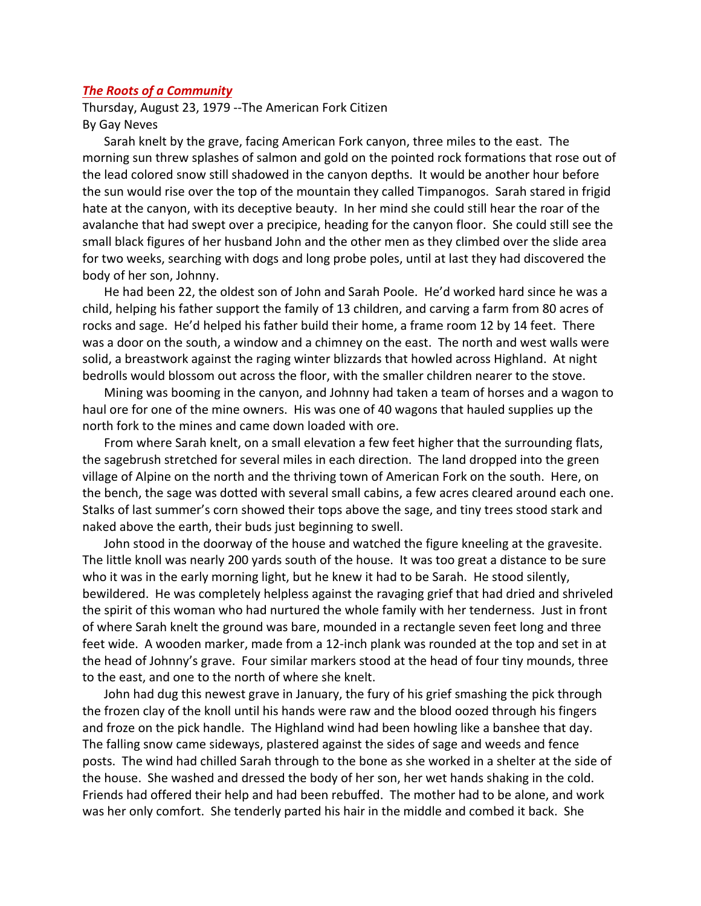## *The Roots of a Community*

Thursday, August 23, 1979 ‐‐The American Fork Citizen By Gay Neves

 Sarah knelt by the grave, facing American Fork canyon, three miles to the east. The morning sun threw splashes of salmon and gold on the pointed rock formations that rose out of the lead colored snow still shadowed in the canyon depths. It would be another hour before the sun would rise over the top of the mountain they called Timpanogos. Sarah stared in frigid hate at the canyon, with its deceptive beauty. In her mind she could still hear the roar of the avalanche that had swept over a precipice, heading for the canyon floor. She could still see the small black figures of her husband John and the other men as they climbed over the slide area for two weeks, searching with dogs and long probe poles, until at last they had discovered the body of her son, Johnny.

 He had been 22, the oldest son of John and Sarah Poole. He'd worked hard since he was a child, helping his father support the family of 13 children, and carving a farm from 80 acres of rocks and sage. He'd helped his father build their home, a frame room 12 by 14 feet. There was a door on the south, a window and a chimney on the east. The north and west walls were solid, a breastwork against the raging winter blizzards that howled across Highland. At night bedrolls would blossom out across the floor, with the smaller children nearer to the stove.

 Mining was booming in the canyon, and Johnny had taken a team of horses and a wagon to haul ore for one of the mine owners. His was one of 40 wagons that hauled supplies up the north fork to the mines and came down loaded with ore.

 From where Sarah knelt, on a small elevation a few feet higher that the surrounding flats, the sagebrush stretched for several miles in each direction. The land dropped into the green village of Alpine on the north and the thriving town of American Fork on the south. Here, on the bench, the sage was dotted with several small cabins, a few acres cleared around each one. Stalks of last summer's corn showed their tops above the sage, and tiny trees stood stark and naked above the earth, their buds just beginning to swell.

 John stood in the doorway of the house and watched the figure kneeling at the gravesite. The little knoll was nearly 200 yards south of the house. It was too great a distance to be sure who it was in the early morning light, but he knew it had to be Sarah. He stood silently, bewildered. He was completely helpless against the ravaging grief that had dried and shriveled the spirit of this woman who had nurtured the whole family with her tenderness. Just in front of where Sarah knelt the ground was bare, mounded in a rectangle seven feet long and three feet wide. A wooden marker, made from a 12‐inch plank was rounded at the top and set in at the head of Johnny's grave. Four similar markers stood at the head of four tiny mounds, three to the east, and one to the north of where she knelt.

 John had dug this newest grave in January, the fury of his grief smashing the pick through the frozen clay of the knoll until his hands were raw and the blood oozed through his fingers and froze on the pick handle. The Highland wind had been howling like a banshee that day. The falling snow came sideways, plastered against the sides of sage and weeds and fence posts. The wind had chilled Sarah through to the bone as she worked in a shelter at the side of the house. She washed and dressed the body of her son, her wet hands shaking in the cold. Friends had offered their help and had been rebuffed. The mother had to be alone, and work was her only comfort. She tenderly parted his hair in the middle and combed it back. She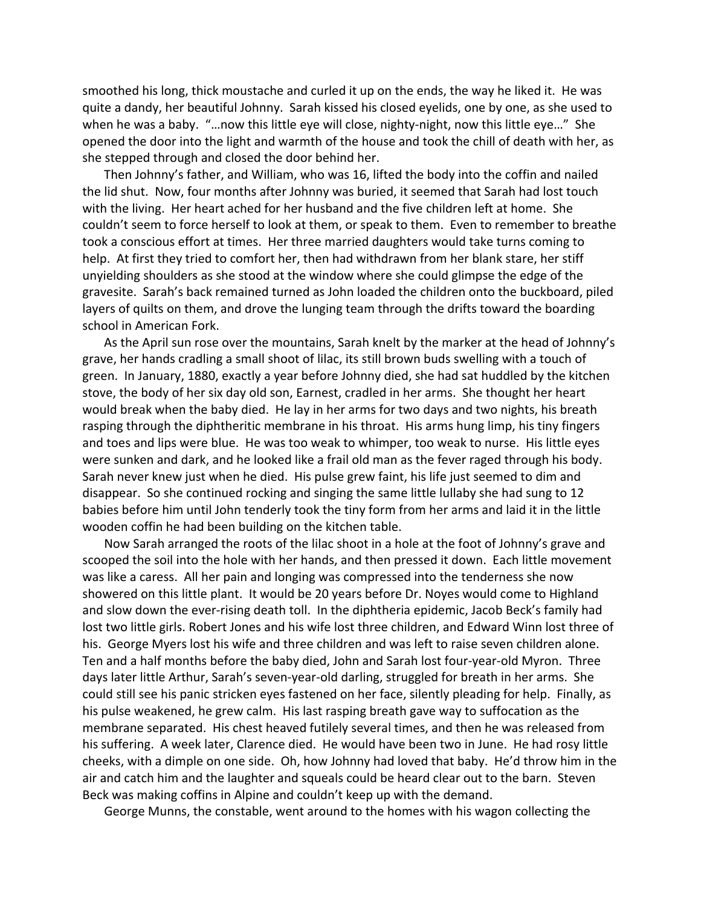smoothed his long, thick moustache and curled it up on the ends, the way he liked it. He was quite a dandy, her beautiful Johnny. Sarah kissed his closed eyelids, one by one, as she used to when he was a baby. "...now this little eye will close, nighty-night, now this little eye..." She opened the door into the light and warmth of the house and took the chill of death with her, as she stepped through and closed the door behind her.

 Then Johnny's father, and William, who was 16, lifted the body into the coffin and nailed the lid shut. Now, four months after Johnny was buried, it seemed that Sarah had lost touch with the living. Her heart ached for her husband and the five children left at home. She couldn't seem to force herself to look at them, or speak to them. Even to remember to breathe took a conscious effort at times. Her three married daughters would take turns coming to help. At first they tried to comfort her, then had withdrawn from her blank stare, her stiff unyielding shoulders as she stood at the window where she could glimpse the edge of the gravesite. Sarah's back remained turned as John loaded the children onto the buckboard, piled layers of quilts on them, and drove the lunging team through the drifts toward the boarding school in American Fork.

 As the April sun rose over the mountains, Sarah knelt by the marker at the head of Johnny's grave, her hands cradling a small shoot of lilac, its still brown buds swelling with a touch of green. In January, 1880, exactly a year before Johnny died, she had sat huddled by the kitchen stove, the body of her six day old son, Earnest, cradled in her arms. She thought her heart would break when the baby died. He lay in her arms for two days and two nights, his breath rasping through the diphtheritic membrane in his throat. His arms hung limp, his tiny fingers and toes and lips were blue. He was too weak to whimper, too weak to nurse. His little eyes were sunken and dark, and he looked like a frail old man as the fever raged through his body. Sarah never knew just when he died. His pulse grew faint, his life just seemed to dim and disappear. So she continued rocking and singing the same little lullaby she had sung to 12 babies before him until John tenderly took the tiny form from her arms and laid it in the little wooden coffin he had been building on the kitchen table.

 Now Sarah arranged the roots of the lilac shoot in a hole at the foot of Johnny's grave and scooped the soil into the hole with her hands, and then pressed it down. Each little movement was like a caress. All her pain and longing was compressed into the tenderness she now showered on this little plant. It would be 20 years before Dr. Noyes would come to Highland and slow down the ever-rising death toll. In the diphtheria epidemic, Jacob Beck's family had lost two little girls. Robert Jones and his wife lost three children, and Edward Winn lost three of his. George Myers lost his wife and three children and was left to raise seven children alone. Ten and a half months before the baby died, John and Sarah lost four‐year‐old Myron. Three days later little Arthur, Sarah's seven‐year‐old darling, struggled for breath in her arms. She could still see his panic stricken eyes fastened on her face, silently pleading for help. Finally, as his pulse weakened, he grew calm. His last rasping breath gave way to suffocation as the membrane separated. His chest heaved futilely several times, and then he was released from his suffering. A week later, Clarence died. He would have been two in June. He had rosy little cheeks, with a dimple on one side. Oh, how Johnny had loved that baby. He'd throw him in the air and catch him and the laughter and squeals could be heard clear out to the barn. Steven Beck was making coffins in Alpine and couldn't keep up with the demand.

George Munns, the constable, went around to the homes with his wagon collecting the